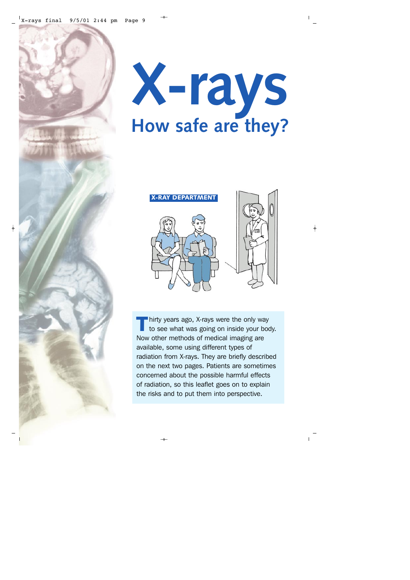

X-rays final 9/5/01 2:44 pm Page 9



hirty years ago, X-rays were the only way to see what was going on inside your body. Thirty years ago, x-rays were the only way<br>to see what was going on inside your b<br>Now other methods of medical imaging are available, some using different types of radiation from X-rays. They are briefly described on the next two pages. Patients are sometimes concerned about the possible harmful effects of radiation, so this leaflet goes on to explain the risks and to put them into perspective.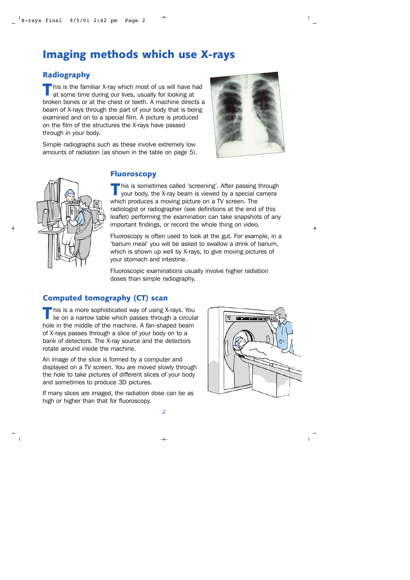# **Imaging methods which use X-rays**

#### **Radiography**

 $\blacksquare$  his is the familiar X-ray which most of us will have had at some time during our lives, usually for looking at I This is the familiar x-ray which most of us will have had<br>at some time during our lives, usually for looking at<br>broken bones or at the chest or teeth. A machine directs a beam of X-rays through the part of your body that is being examined and on to a special film. A picture is produced on the film of the structures the X-rays have passed through in your body.

Simple radiographs such as these involve extremely low amounts of radiation (as shown in the table on page 5).





#### **Fluoroscopy**

his is sometimes called 'screening'. After passing through your body, the X-ray beam is viewed by a special camera Filis is sometimes called screening a Arter passing<br>your body, the X-ray beam is viewed by a special which produces a moving picture on a TV screen. The radiologist or radiographer (see definitions at the end of this leaflet) performing the examination can take snapshots of any important findings, or record the whole thing on video.

Fluoroscopy is often used to look at the gut. For example, in a 'barium meal' you will be asked to swallow a drink of barium, which is shown up well by X-rays, to give moving pictures of your stomach and intestine.

Fluoroscopic examinations usually involve higher radiation doses than simple radiography.

#### **Computed tomography (CT) scan**

his is a more sophisticated way of using X-rays. You lie on a narrow table which passes through a circular This is a more sophisticated way or using x-rays. You<br>lie on a narrow table which passes through a circula<br>hole in the middle of the machine. A fan-shaped beam of X-rays passes through a slice of your body on to a bank of detectors. The X-ray source and the detectors rotate around inside the machine.

An image of the slice is formed by a computer and displayed on a TV screen. You are moved slowly through the hole to take pictures of different slices of your body and sometimes to produce 3D pictures.

If many slices are imaged, the radiation dose can be as high or higher than that for fluoroscopy.

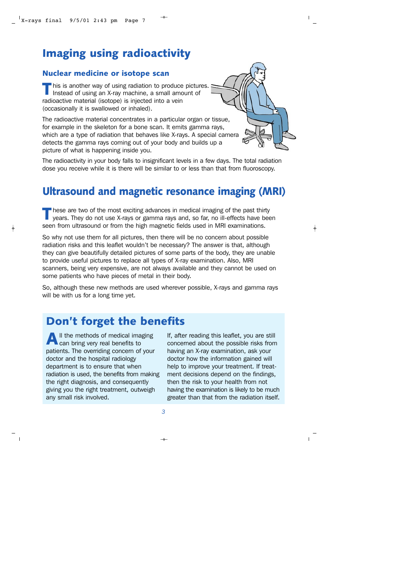# **Imaging using radioactivity**

#### **Nuclear medicine or isotope scan**

his is another way of using radiation to produce pictures. Instead of using an X-ray machine, a small amount of Ins is another way of using radiation to produce<br>Instead of using an X-ray machine, a small ameradioactive material (isotope) is injected into a vein (occasionally it is swallowed or inhaled).

The radioactive material concentrates in a particular organ or tissue, for example in the skeleton for a bone scan. It emits gamma rays, which are a type of radiation that behaves like X-rays. A special camera detects the gamma rays coming out of your body and builds up a picture of what is happening inside you.

The radioactivity in your body falls to insignificant levels in a few days. The total radiation dose you receive while it is there will be similar to or less than that from fluoroscopy.

## **Ultrasound and magnetic resonance imaging (MRI)**

hese are two of the most exciting advances in medical imaging of the past thirty years. They do not use X-rays or gamma rays and, so far, no ill-effects have been These are two or the most excluding advances in medical imaging or the past thing<br>years. They do not use X-rays or gamma rays and, so far, no ill-effects have be<br>seen from ultrasound or from the high magnetic fields used i

So why not use them for all pictures, then there will be no concern about possible radiation risks and this leaflet wouldn't be necessary? The answer is that, although they can give beautifully detailed pictures of some parts of the body, they are unable to provide useful pictures to replace all types of X-ray examination. Also, MRI scanners, being very expensive, are not always available and they cannot be used on some patients who have pieces of metal in their body.

So, although these new methods are used wherever possible, X-rays and gamma rays will be with us for a long time yet.

## **Don't forget the benefits**

If the methods of medical imaging can bring very real benefits to **A** If the methods or medical imaging<br>patients. The overriding concern of your doctor and the hospital radiology department is to ensure that when radiation is used, the benefits from making the right diagnosis, and consequently giving you the right treatment, outweigh any small risk involved.

If, after reading this leaflet, you are still concerned about the possible risks from having an X-ray examination, ask your doctor how the information gained will help to improve your treatment. If treatment decisions depend on the findings, then the risk to your health from not having the examination is likely to be much greater than that from the radiation itself.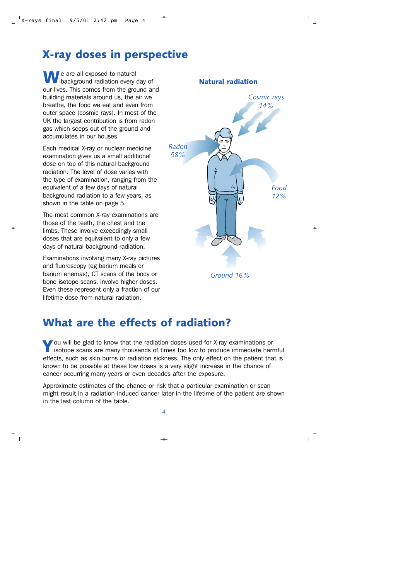## **X-ray doses in perspective**

e are all exposed to natural background radiation every day of **W** background radiation every day of<br>our lives. This comes from the ground and building materials around us, the air we breathe, the food we eat and even from outer space (cosmic rays). In most of the UK the largest contribution is from radon gas which seeps out of the ground and accumulates in our houses.

Each medical X-ray or nuclear medicine examination gives us a small additional dose on top of this natural background radiation. The level of dose varies with the type of examination, ranging from the equivalent of a few days of natural background radiation to a few years, as shown in the table on page 5.

The most common X-ray examinations are those of the teeth, the chest and the limbs. These involve exceedingly small doses that are equivalent to only a few days of natural background radiation.

Examinations involving many X-ray pictures and fluoroscopy (eg barium meals or barium enemas), CT scans of the body or bone isotope scans, involve higher doses. Even these represent only a fraction of our lifetime dose from natural radiation.



### **What are the effects of radiation?**

ou will be glad to know that the radiation doses used for X-ray examinations or isotope scans are many thousands of times too low to produce immediate harmful Fou will be giad to know that the radiation doses used for x-ray examinations or<br>isotope scans are many thousands of times too low to produce immediate harmful<br>effects, such as skin burns or radiation sickness. The only ef known to be possible at these low doses is a very slight increase in the chance of cancer occurring many years or even decades after the exposure.

Approximate estimates of the chance or risk that a particular examination or scan might result in a radiation-induced cancer later in the lifetime of the patient are shown in the last column of the table.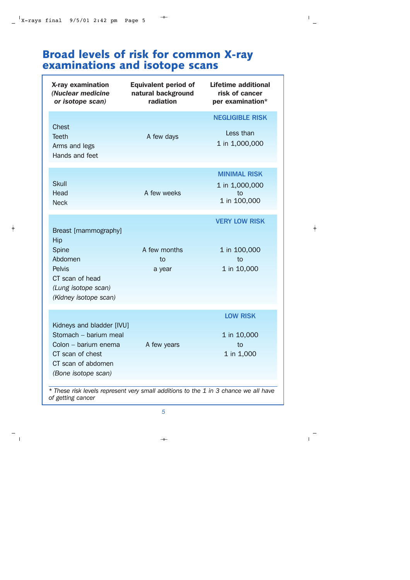## **Broad levels of risk for common X-ray examinations and isotope scans**

| X-ray examination<br>(Nuclear medicine<br>or isotope scan)                                                                                  | <b>Equivalent period of</b><br>natural background<br>radiation | <b>Lifetime additional</b><br>risk of cancer<br>per examination* |
|---------------------------------------------------------------------------------------------------------------------------------------------|----------------------------------------------------------------|------------------------------------------------------------------|
| Chest<br><b>Teeth</b><br>Arms and legs<br>Hands and feet                                                                                    | A few days                                                     | <b>NEGLIGIBLE RISK</b><br>Less than<br>1 in 1,000,000            |
| <b>Skull</b><br>Head<br><b>Neck</b>                                                                                                         | A few weeks                                                    | <b>MINIMAL RISK</b><br>1 in 1,000,000<br>to<br>1 in 100,000      |
| Breast [mammography]<br>Hip<br>Spine<br>Abdomen<br><b>Pelvis</b><br>CT scan of head<br>(Lung isotope scan)<br>(Kidney isotope scan)         | A few months<br>to<br>a year                                   | <b>VERY LOW RISK</b><br>1 in 100,000<br>to<br>1 in 10,000        |
| Kidneys and bladder [IVU]<br>Stomach - barium meal<br>Colon - barium enema<br>CT scan of chest<br>CT scan of abdomen<br>(Bone isotope scan) | A few years                                                    | <b>LOW RISK</b><br>1 in 10,000<br>to<br>1 in 1,000               |

*\* These risk levels represent very small additions to the 1 in 3 chance we all have of getting cancer*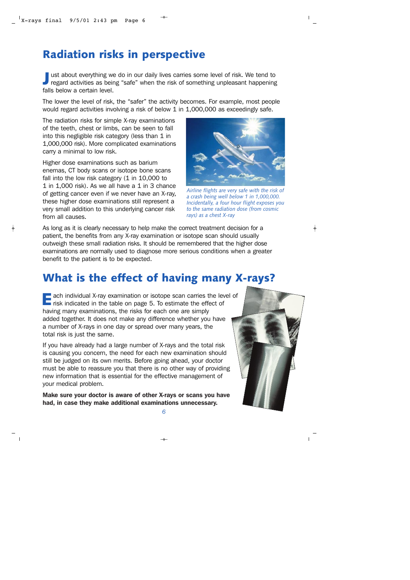# **Radiation risks in perspective**

ust about everything we do in our daily lives carries some level of risk. We tend to regard activities as being "safe" when the risk of something unpleasant happening **J** ust about everything we<br>regard activities as bein<br>falls below a certain level.

The lower the level of risk, the "safer" the activity becomes. For example, most people would regard activities involving a risk of below 1 in 1,000,000 as exceedingly safe.

The radiation risks for simple X-ray examinations of the teeth, chest or limbs, can be seen to fall into this negligible risk category (less than 1 in 1,000,000 risk). More complicated examinations carry a minimal to low risk.

Higher dose examinations such as barium enemas, CT body scans or isotope bone scans fall into the low risk category (1 in 10,000 to 1 in 1,000 risk). As we all have a 1 in 3 chance of getting cancer even if we never have an X-ray, these higher dose examinations still represent a very small addition to this underlying cancer risk from all causes.



*Airline flights are very safe with the risk of a crash being well below 1 in 1,000,000. Incidentally, a four hour flight exposes you to the same radiation dose (from cosmic rays) as a chest X-ray*

As long as it is clearly necessary to help make the correct treatment decision for a patient, the benefits from any X-ray examination or isotope scan should usually outweigh these small radiation risks. It should be remembered that the higher dose examinations are normally used to diagnose more serious conditions when a greater benefit to the patient is to be expected.

### **What is the effect of having many X-rays?**

 $\blacksquare$  ach individual X-ray examination or isotope scan carries the level of **E** ach individual x-ray examination or isotope scan carries the left of having many examinations the risks for each one are simply having many examinations, the risks for each one are simply added together. It does not make any difference whether you have a number of X-rays in one day or spread over many years, the total risk is just the same.

If you have already had a large number of X-rays and the total risk is causing you concern, the need for each new examination should still be judged on its own merits. Before going ahead, your doctor must be able to reassure you that there is no other way of providing new information that is essential for the effective management of your medical problem.

Make sure your doctor is aware of other X-rays or scans you have had, in case they make additional examinations unnecessary.

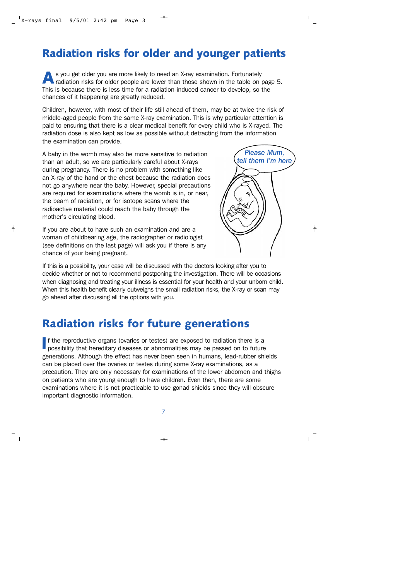### **Radiation risks for older and younger patients**

s you get older you are more likely to need an X-ray examination. Fortunately radiation risks for older people are lower than those shown in the table on page 5. This is because there is less time for a radiation-induced cancer to develop, so the<br>This is because there is less time for a radiation-induced cancer to develop, so the chances of it happening are greatly reduced.

Children, however, with most of their life still ahead of them, may be at twice the risk of middle-aged people from the same X-ray examination. This is why particular attention is paid to ensuring that there is a clear medical benefit for every child who is X-rayed. The radiation dose is also kept as low as possible without detracting from the information the examination can provide.

A baby in the womb may also be more sensitive to radiation than an adult, so we are particularly careful about X-rays during pregnancy. There is no problem with something like an X-ray of the hand or the chest because the radiation does not go anywhere near the baby. However, special precautions are required for examinations where the womb is in, or near, the beam of radiation, or for isotope scans where the radioactive material could reach the baby through the mother's circulating blood.

If you are about to have such an examination and are a woman of childbearing age, the radiographer or radiologist (see definitions on the last page) will ask you if there is any chance of your being pregnant.



If this is a possibility, your case will be discussed with the doctors looking after you to decide whether or not to recommend postponing the investigation. There will be occasions when diagnosing and treating your illness is essential for your health and your unborn child. When this health benefit clearly outweighs the small radiation risks, the X-ray or scan may go ahead after discussing all the options with you.

### **Radiation risks for future generations**

f the reproductive organs (ovaries or testes) are exposed to radiation there is a possibility that hereditary diseases or abnormalities may be passed on to future If the reproductive organs (ovaries or testes) are exposed to radiation there is a<br>possibility that hereditary diseases or abnormalities may be passed on to future<br>generations. Although the effect has never been seen in hu can be placed over the ovaries or testes during some X-ray examinations, as a precaution. They are only necessary for examinations of the lower abdomen and thighs on patients who are young enough to have children. Even then, there are some examinations where it is not practicable to use gonad shields since they will obscure important diagnostic information.